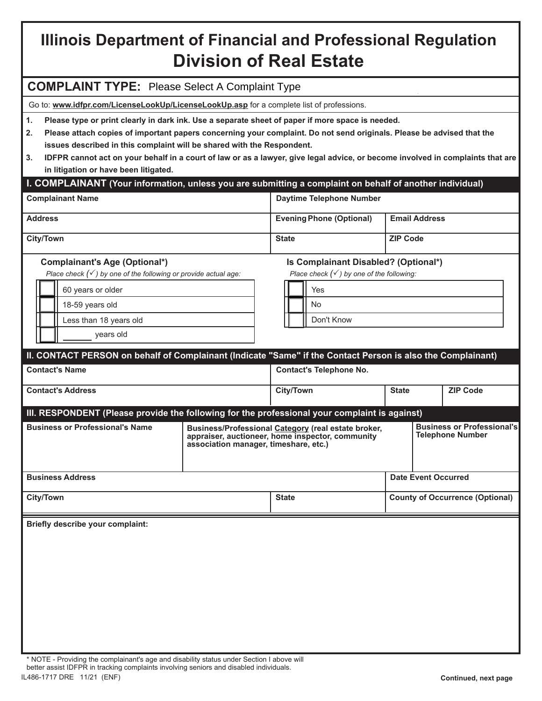# **Illinois Department of Financial and Professional Regulation Division of Real Estate**

## **COMPLAINT TYPE:** Please Select A Complaint Type

Go to: **www.idfpr.com/LicenseLookUp/LicenseLookUp.asp** for a complete list of professions.

**1. Please type or print clearly in dark ink. Use a separate sheet of paper if more space is needed.**

- **2. Please attach copies of important papers concerning your complaint. Do not send originals. Please be advised that the issues described in this complaint will be shared with the Respondent.**
- **3. IDFPR cannot act on your behalf in a court of law or as a lawyer, give legal advice, or become involved in complaints that are in litigation or have been litigated.**

## **I. COMPLAINANT (Your information, unless you are submitting a complaint on behalf of another individual)**

| <b>Complainant Name</b> | Daytime Telephone Number        |                      |
|-------------------------|---------------------------------|----------------------|
| <b>Address</b>          | <b>Evening Phone (Optional)</b> | <b>Email Address</b> |
| <b>City/Town</b>        | <b>State</b>                    | <b>ZIP Code</b>      |

*Place check () by one of the following or provide actual age:* 

| 60 years or older      |
|------------------------|
| 18-59 years old        |
| Less than 18 years old |
| vears old              |

## **Complainant's Age (Optional\*) Is Complainant Disabled? (Optional\*)**

*Place check () by one of the following:* 

|  | Yes        |
|--|------------|
|  | No         |
|  | Don't Know |

### **II. CONTACT PERSON on behalf of Complainant (Indicate "Same" if the Contact Person is also the Complainant) Contact's Address City/Town Contact's Name Contact's Telephone No. State ZIP Code III. RESPONDENT (Please provide the following for the professional your complaint is against) Business Address City/Town Business or Professional's Telephone Number County of Occurrence (Optional) Business/Professional Category (real estate broker, appraiser, auctioneer, home inspector, community association manager, timeshare, etc.) Business or Professional's Name State Date Event Occurred**

**Briefly describe your complaint:**